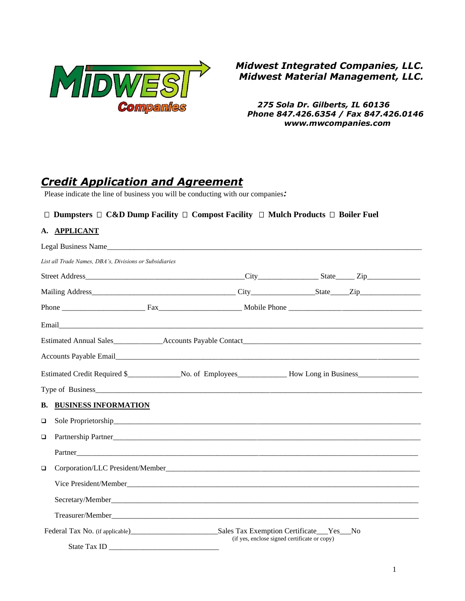

## *Midwest Integrated Companies, LLC. Midwest Material Management, LLC.*

*275 Sola Dr. Gilberts, IL 60136 Phone 847.426.6354 / Fax 847.426.0146 www.mwcompanies.com*

# *Credit Application and Agreement*

Please indicate the line of business you will be conducting with our companies*:*

### **Dumpsters C&D Dump Facility Compost Facility Mulch Products Boiler Fuel**

#### **A. APPLICANT**

|        |                                                        |  | Legal Business Name                          |  |  |
|--------|--------------------------------------------------------|--|----------------------------------------------|--|--|
|        | List all Trade Names, DBA's, Divisions or Subsidiaries |  |                                              |  |  |
|        |                                                        |  |                                              |  |  |
|        |                                                        |  |                                              |  |  |
|        |                                                        |  |                                              |  |  |
|        |                                                        |  |                                              |  |  |
|        |                                                        |  |                                              |  |  |
|        |                                                        |  |                                              |  |  |
|        |                                                        |  |                                              |  |  |
|        |                                                        |  |                                              |  |  |
|        | <b>B. BUSINESS INFORMATION</b>                         |  |                                              |  |  |
| $\Box$ |                                                        |  |                                              |  |  |
| $\Box$ |                                                        |  |                                              |  |  |
|        |                                                        |  |                                              |  |  |
| $\Box$ |                                                        |  |                                              |  |  |
|        |                                                        |  |                                              |  |  |
|        |                                                        |  |                                              |  |  |
|        |                                                        |  |                                              |  |  |
|        |                                                        |  | (if yes, enclose signed certificate or copy) |  |  |
|        |                                                        |  |                                              |  |  |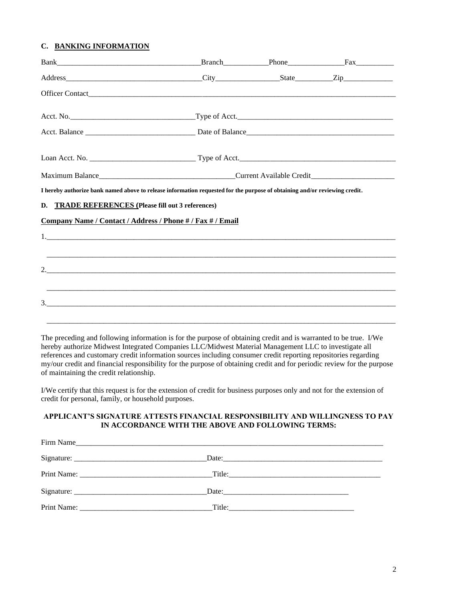#### **C. BANKING INFORMATION**

| I hereby authorize bank named above to release information requested for the purpose of obtaining and/or reviewing credit. |  |  |  |  |  |  |
|----------------------------------------------------------------------------------------------------------------------------|--|--|--|--|--|--|
| D. TRADE REFERENCES (Please fill out 3 references)                                                                         |  |  |  |  |  |  |
| Company Name / Contact / Address / Phone # / Fax # / Email                                                                 |  |  |  |  |  |  |
|                                                                                                                            |  |  |  |  |  |  |
|                                                                                                                            |  |  |  |  |  |  |
|                                                                                                                            |  |  |  |  |  |  |
|                                                                                                                            |  |  |  |  |  |  |
|                                                                                                                            |  |  |  |  |  |  |
|                                                                                                                            |  |  |  |  |  |  |

The preceding and following information is for the purpose of obtaining credit and is warranted to be true. I/We hereby authorize Midwest Integrated Companies LLC/Midwest Material Management LLC to investigate all references and customary credit information sources including consumer credit reporting repositories regarding my/our credit and financial responsibility for the purpose of obtaining credit and for periodic review for the purpose of maintaining the credit relationship.

I/We certify that this request is for the extension of credit for business purposes only and not for the extension of credit for personal, family, or household purposes.

#### **APPLICANT'S SIGNATURE ATTESTS FINANCIAL RESPONSIBILITY AND WILLINGNESS TO PAY IN ACCORDANCE WITH THE ABOVE AND FOLLOWING TERMS:**

| Firm Name |  |
|-----------|--|
|           |  |
|           |  |
|           |  |
|           |  |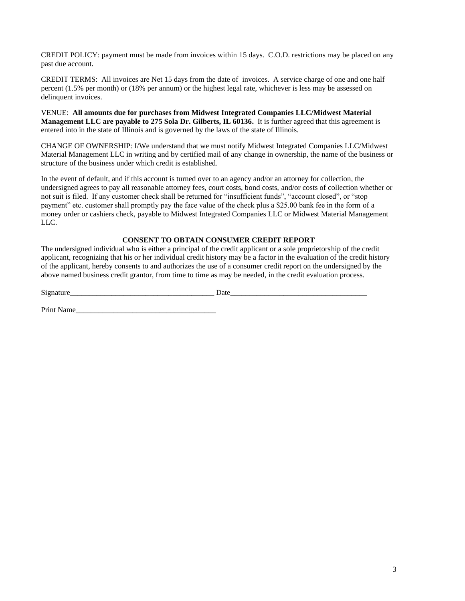CREDIT POLICY: payment must be made from invoices within 15 days. C.O.D. restrictions may be placed on any past due account.

CREDIT TERMS: All invoices are Net 15 days from the date of invoices. A service charge of one and one half percent (1.5% per month) or (18% per annum) or the highest legal rate, whichever is less may be assessed on delinquent invoices.

VENUE: **All amounts due for purchases from Midwest Integrated Companies LLC/Midwest Material Management LLC are payable to 275 Sola Dr. Gilberts, IL 60136.** It is further agreed that this agreement is entered into in the state of Illinois and is governed by the laws of the state of Illinois.

CHANGE OF OWNERSHIP: I/We understand that we must notify Midwest Integrated Companies LLC/Midwest Material Management LLC in writing and by certified mail of any change in ownership, the name of the business or structure of the business under which credit is established.

In the event of default, and if this account is turned over to an agency and/or an attorney for collection, the undersigned agrees to pay all reasonable attorney fees, court costs, bond costs, and/or costs of collection whether or not suit is filed. If any customer check shall be returned for "insufficient funds", "account closed", or "stop payment" etc. customer shall promptly pay the face value of the check plus a \$25.00 bank fee in the form of a money order or cashiers check, payable to Midwest Integrated Companies LLC or Midwest Material Management LLC.

#### **CONSENT TO OBTAIN CONSUMER CREDIT REPORT**

The undersigned individual who is either a principal of the credit applicant or a sole proprietorship of the credit applicant, recognizing that his or her individual credit history may be a factor in the evaluation of the credit history of the applicant, hereby consents to and authorizes the use of a consumer credit report on the undersigned by the above named business credit grantor, from time to time as may be needed, in the credit evaluation process.

Signature Date

Print Name